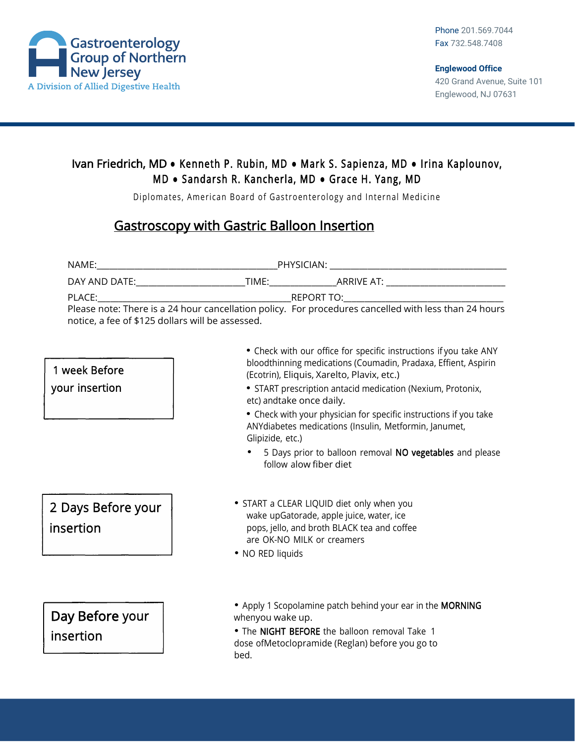

## Ivan Friedrich, MD **●** Kenneth P. Rubin, MD **●** Mark S. Sapienza, MD **●** Irina Kaplounov, MD **●** Sandarsh R. Kancherla, MD **●** Grace H. Yang, MD

Diplomates, American Board of Gastroenterology and Internal Medicine

## Gastroscopy with Gastric Balloon Insertion

| notice, a fee of \$125 dollars will be assessed. |                                                                                                                                                                                                                                                                             |
|--------------------------------------------------|-----------------------------------------------------------------------------------------------------------------------------------------------------------------------------------------------------------------------------------------------------------------------------|
| 1 week Before<br>your insertion                  | • Check with our office for specific instructions if you take ANY<br>bloodthinning medications (Coumadin, Pradaxa, Effient, Aspirin<br>(Ecotrin), Eliquis, Xarelto, Plavix, etc.)<br>• START prescription antacid medication (Nexium, Protonix,<br>etc) andtake once daily. |
|                                                  | • Check with your physician for specific instructions if you take<br>ANYdiabetes medications (Insulin, Metformin, Janumet,<br>Glipizide, etc.)                                                                                                                              |
|                                                  | 5 Days prior to balloon removal NO vegetables and please<br>follow alow fiber diet                                                                                                                                                                                          |
| 2 Days Before your<br>insertion                  | • START a CLEAR LIQUID diet only when you<br>wake upGatorade, apple juice, water, ice<br>pops, jello, and broth BLACK tea and coffee<br>are OK-NO MILK or creamers<br>• NO RED liquids                                                                                      |
| Day Before your<br>insertion                     | • Apply 1 Scopolamine patch behind your ear in the MORNING<br>whenyou wake up.<br>. The NIGHT BEFORE the balloon removal Take 1<br>dose ofMetoclopramide (Reglan) before you go to<br>bed.                                                                                  |